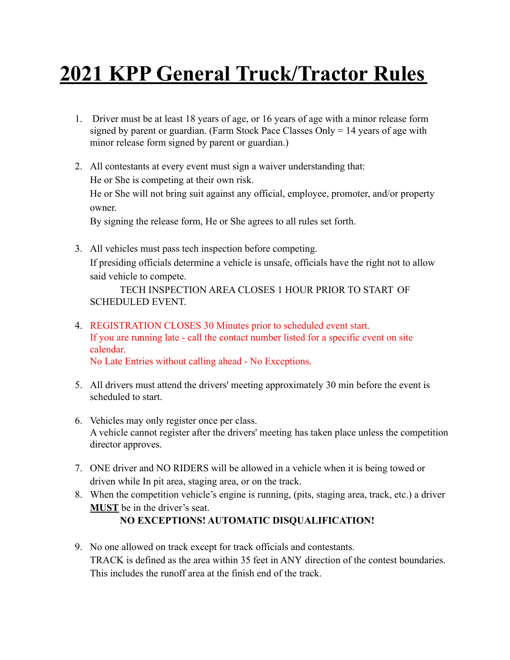## **2021 KPP General Truck/Tractor Rules**

- 1. Driver must be at least 18 years of age, or 16 years of age with a minor release form signed by parent or guardian. (Farm Stock Pace Classes Only  $= 14$  years of age with minor release form signed by parent or guardian.)
- 2. All contestants at every event must sign a waiver understanding that: He or She is competing at their own risk. He or She will not bring suit against any official, employee, promoter, and/or property owner.

By signing the release form, He or She agrees to all rules set forth.

3. All vehicles must pass tech inspection before competing. If presiding officials determine a vehicle is unsafe, officials have the right not to allow said vehicle to compete.

TECH INSPECTION AREA CLOSES 1 HOUR PRIOR TO START OF SCHEDULED EVENT.

- 4. REGISTRATION CLOSES 30 Minutes prior to scheduled event start. If you are running late - call the contact number listed for a specific event on site calendar. No Late Entries without calling ahead - No Exceptions.
- 5. All drivers must attend the drivers' meeting approximately 30 min before the event is scheduled to start.
- 6. Vehicles may only register once per class. A vehicle cannot register after the drivers' meeting has taken place unless the competition director approves.
- 7. ONE driver and NO RIDERS will be allowed in a vehicle when it is being towed or driven while In pit area, staging area, or on the track.
- 8. When the competition vehicle's engine is running, (pits, staging area, track, etc.) a driver **MUST** be in the driver's seat.

## **NO EXCEPTIONS! AUTOMATIC DISQUALIFICATION!**

9. No one allowed on track except for track officials and contestants. TRACK is defined as the area within 35 feet in ANY direction of the contest boundaries. This includes the runoff area at the finish end of the track.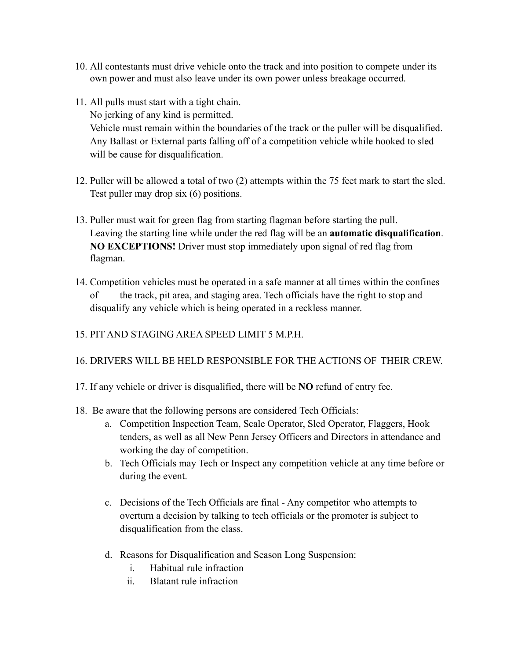- 10. All contestants must drive vehicle onto the track and into position to compete under its own power and must also leave under its own power unless breakage occurred.
- 11. All pulls must start with a tight chain. No jerking of any kind is permitted. Vehicle must remain within the boundaries of the track or the puller will be disqualified. Any Ballast or External parts falling off of a competition vehicle while hooked to sled will be cause for disqualification.
- 12. Puller will be allowed a total of two (2) attempts within the 75 feet mark to start the sled. Test puller may drop six (6) positions.
- 13. Puller must wait for green flag from starting flagman before starting the pull. Leaving the starting line while under the red flag will be an **automatic disqualification**. **NO EXCEPTIONS!** Driver must stop immediately upon signal of red flag from flagman.
- 14. Competition vehicles must be operated in a safe manner at all times within the confines of the track, pit area, and staging area. Tech officials have the right to stop and disqualify any vehicle which is being operated in a reckless manner.
- 15. PIT AND STAGING AREA SPEED LIMIT 5 M.P.H.
- 16. DRIVERS WILL BE HELD RESPONSIBLE FOR THE ACTIONS OF THEIR CREW.
- 17. If any vehicle or driver is disqualified, there will be **NO** refund of entry fee.
- 18. Be aware that the following persons are considered Tech Officials:
	- a. Competition Inspection Team, Scale Operator, Sled Operator, Flaggers, Hook tenders, as well as all New Penn Jersey Officers and Directors in attendance and working the day of competition.
	- b. Tech Officials may Tech or Inspect any competition vehicle at any time before or during the event.
	- c. Decisions of the Tech Officials are final Any competitor who attempts to overturn a decision by talking to tech officials or the promoter is subject to disqualification from the class.
	- d. Reasons for Disqualification and Season Long Suspension:
		- i. Habitual rule infraction
		- ii. Blatant rule infraction